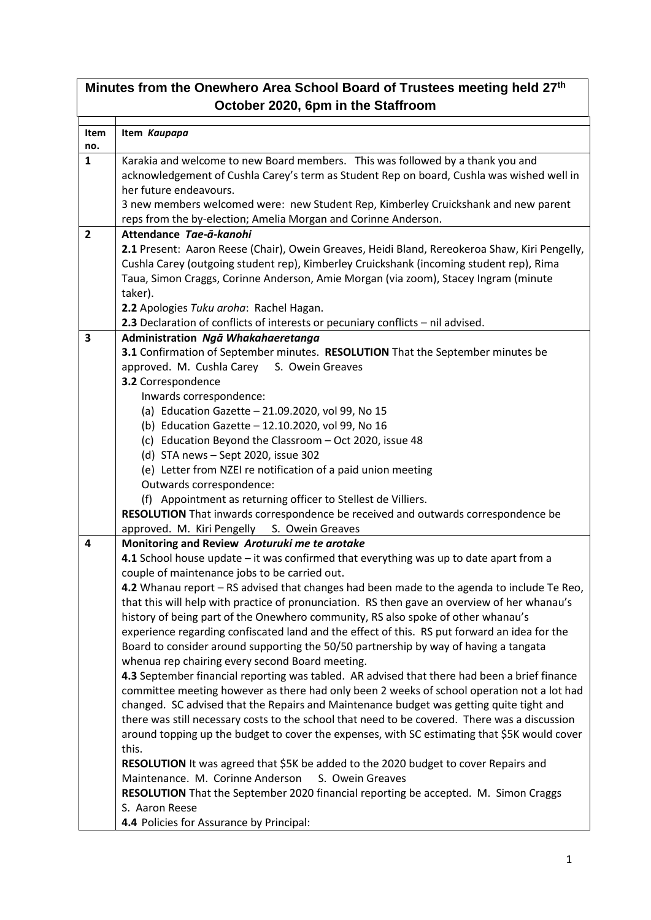## **Minutes from the Onewhero Area School Board of Trustees meeting held 27th October 2020, 6pm in the Staffroom**

| Item           | Item Kaupapa                                                                                                          |
|----------------|-----------------------------------------------------------------------------------------------------------------------|
| no.            |                                                                                                                       |
| $\mathbf{1}$   | Karakia and welcome to new Board members. This was followed by a thank you and                                        |
|                | acknowledgement of Cushla Carey's term as Student Rep on board, Cushla was wished well in                             |
|                | her future endeavours.                                                                                                |
|                | 3 new members welcomed were: new Student Rep, Kimberley Cruickshank and new parent                                    |
|                | reps from the by-election; Amelia Morgan and Corinne Anderson.                                                        |
| $\overline{2}$ | Attendance Tae-ā-kanohi                                                                                               |
|                | 2.1 Present: Aaron Reese (Chair), Owein Greaves, Heidi Bland, Rereokeroa Shaw, Kiri Pengelly,                         |
|                | Cushla Carey (outgoing student rep), Kimberley Cruickshank (incoming student rep), Rima                               |
|                | Taua, Simon Craggs, Corinne Anderson, Amie Morgan (via zoom), Stacey Ingram (minute                                   |
|                | taker).                                                                                                               |
|                | 2.2 Apologies Tuku aroha: Rachel Hagan.                                                                               |
|                | 2.3 Declaration of conflicts of interests or pecuniary conflicts - nil advised.                                       |
| 3              | Administration Ngā Whakahaeretanga<br>3.1 Confirmation of September minutes. RESOLUTION That the September minutes be |
|                | approved. M. Cushla Carey<br>S. Owein Greaves                                                                         |
|                | 3.2 Correspondence                                                                                                    |
|                | Inwards correspondence:                                                                                               |
|                | (a) Education Gazette - 21.09.2020, vol 99, No 15                                                                     |
|                | (b) Education Gazette - 12.10.2020, vol 99, No 16                                                                     |
|                | (c) Education Beyond the Classroom - Oct 2020, issue 48                                                               |
|                | (d) STA news - Sept 2020, issue 302                                                                                   |
|                | (e) Letter from NZEI re notification of a paid union meeting                                                          |
|                | Outwards correspondence:                                                                                              |
|                | (f) Appointment as returning officer to Stellest de Villiers.                                                         |
|                | RESOLUTION That inwards correspondence be received and outwards correspondence be                                     |
|                | approved. M. Kiri Pengelly S. Owein Greaves                                                                           |
| 4              | Monitoring and Review Aroturuki me te arotake                                                                         |
|                | 4.1 School house update $-$ it was confirmed that everything was up to date apart from a                              |
|                | couple of maintenance jobs to be carried out.                                                                         |
|                | 4.2 Whanau report - RS advised that changes had been made to the agenda to include Te Reo,                            |
|                | that this will help with practice of pronunciation. RS then gave an overview of her whanau's                          |
|                | history of being part of the Onewhero community, RS also spoke of other whanau's                                      |
|                | experience regarding confiscated land and the effect of this. RS put forward an idea for the                          |
|                | Board to consider around supporting the 50/50 partnership by way of having a tangata                                  |
|                | whenua rep chairing every second Board meeting.                                                                       |
|                | 4.3 September financial reporting was tabled. AR advised that there had been a brief finance                          |
|                | committee meeting however as there had only been 2 weeks of school operation not a lot had                            |
|                | changed. SC advised that the Repairs and Maintenance budget was getting quite tight and                               |
|                | there was still necessary costs to the school that need to be covered. There was a discussion                         |
|                | around topping up the budget to cover the expenses, with SC estimating that \$5K would cover                          |
|                | this.                                                                                                                 |
|                | RESOLUTION It was agreed that \$5K be added to the 2020 budget to cover Repairs and                                   |
|                | Maintenance. M. Corinne Anderson<br>S. Owein Greaves                                                                  |
|                | RESOLUTION That the September 2020 financial reporting be accepted. M. Simon Craggs                                   |
|                | S. Aaron Reese                                                                                                        |
|                | 4.4 Policies for Assurance by Principal:                                                                              |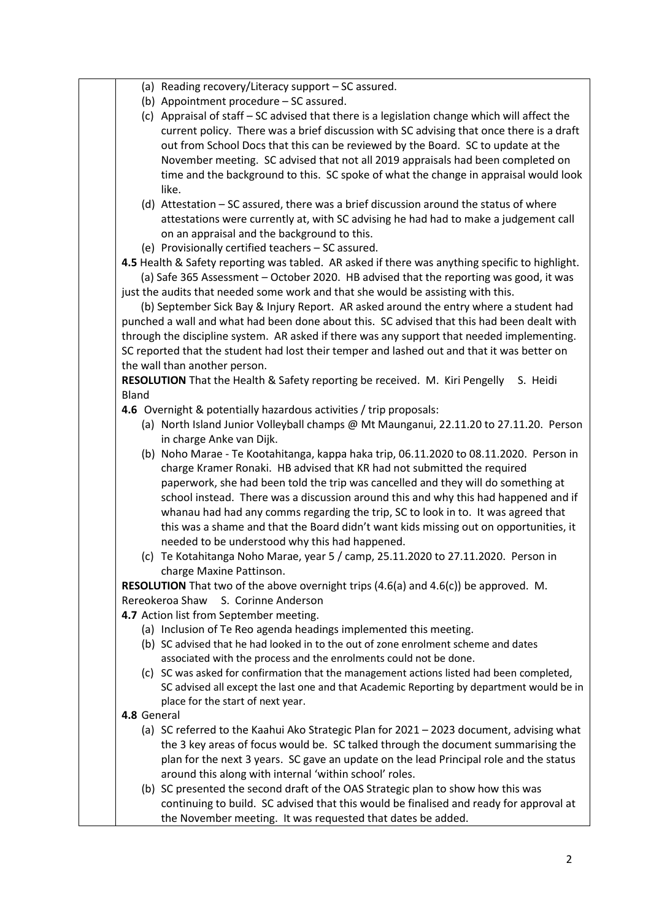- (a) Reading recovery/Literacy support SC assured.
- (b) Appointment procedure SC assured.
- (c) Appraisal of staff SC advised that there is a legislation change which will affect the current policy. There was a brief discussion with SC advising that once there is a draft out from School Docs that this can be reviewed by the Board. SC to update at the November meeting. SC advised that not all 2019 appraisals had been completed on time and the background to this. SC spoke of what the change in appraisal would look like.
- (d) Attestation SC assured, there was a brief discussion around the status of where attestations were currently at, with SC advising he had had to make a judgement call on an appraisal and the background to this.
- (e) Provisionally certified teachers SC assured.

**4.5** Health & Safety reporting was tabled. AR asked if there was anything specific to highlight. (a) Safe 365 Assessment – October 2020. HB advised that the reporting was good, it was just the audits that needed some work and that she would be assisting with this.

 (b) September Sick Bay & Injury Report. AR asked around the entry where a student had punched a wall and what had been done about this. SC advised that this had been dealt with through the discipline system. AR asked if there was any support that needed implementing. SC reported that the student had lost their temper and lashed out and that it was better on the wall than another person.

**RESOLUTION** That the Health & Safety reporting be received. M. Kiri Pengelly S. Heidi Bland

**4.6** Overnight & potentially hazardous activities / trip proposals:

- (a) North Island Junior Volleyball champs @ Mt Maunganui, 22.11.20 to 27.11.20. Person in charge Anke van Dijk.
- (b) Noho Marae Te Kootahitanga, kappa haka trip, 06.11.2020 to 08.11.2020. Person in charge Kramer Ronaki. HB advised that KR had not submitted the required paperwork, she had been told the trip was cancelled and they will do something at school instead. There was a discussion around this and why this had happened and if whanau had had any comms regarding the trip, SC to look in to. It was agreed that this was a shame and that the Board didn't want kids missing out on opportunities, it needed to be understood why this had happened.
- (c) Te Kotahitanga Noho Marae, year 5 / camp, 25.11.2020 to 27.11.2020. Person in charge Maxine Pattinson.

**RESOLUTION** That two of the above overnight trips (4.6(a) and 4.6(c)) be approved. M. Rereokeroa Shaw S. Corinne Anderson

- **4.7** Action list from September meeting.
	- (a) Inclusion of Te Reo agenda headings implemented this meeting.
	- (b) SC advised that he had looked in to the out of zone enrolment scheme and dates associated with the process and the enrolments could not be done.
	- (c) SC was asked for confirmation that the management actions listed had been completed, SC advised all except the last one and that Academic Reporting by department would be in place for the start of next year.
- **4.8** General
	- (a) SC referred to the Kaahui Ako Strategic Plan for 2021 2023 document, advising what the 3 key areas of focus would be. SC talked through the document summarising the plan for the next 3 years. SC gave an update on the lead Principal role and the status around this along with internal 'within school' roles.
	- (b) SC presented the second draft of the OAS Strategic plan to show how this was continuing to build. SC advised that this would be finalised and ready for approval at the November meeting. It was requested that dates be added.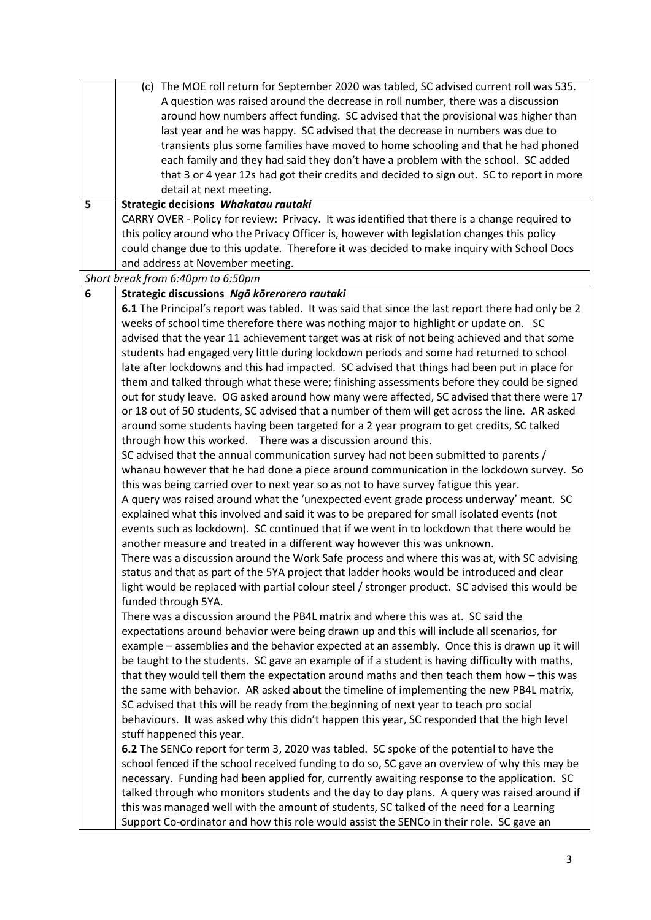| (c) The MOE roll return for September 2020 was tabled, SC advised current roll was 535.                                                                                                |  |  |
|----------------------------------------------------------------------------------------------------------------------------------------------------------------------------------------|--|--|
| A question was raised around the decrease in roll number, there was a discussion                                                                                                       |  |  |
| around how numbers affect funding. SC advised that the provisional was higher than                                                                                                     |  |  |
| last year and he was happy. SC advised that the decrease in numbers was due to                                                                                                         |  |  |
|                                                                                                                                                                                        |  |  |
| transients plus some families have moved to home schooling and that he had phoned                                                                                                      |  |  |
| each family and they had said they don't have a problem with the school. SC added                                                                                                      |  |  |
| that 3 or 4 year 12s had got their credits and decided to sign out. SC to report in more                                                                                               |  |  |
| detail at next meeting.                                                                                                                                                                |  |  |
| 5<br>Strategic decisions Whakatau rautaki                                                                                                                                              |  |  |
| CARRY OVER - Policy for review: Privacy. It was identified that there is a change required to                                                                                          |  |  |
| this policy around who the Privacy Officer is, however with legislation changes this policy                                                                                            |  |  |
| could change due to this update. Therefore it was decided to make inquiry with School Docs                                                                                             |  |  |
| and address at November meeting.                                                                                                                                                       |  |  |
| Short break from 6:40pm to 6:50pm                                                                                                                                                      |  |  |
| 6<br>Strategic discussions Ngā kōrerorero rautaki                                                                                                                                      |  |  |
| 6.1 The Principal's report was tabled. It was said that since the last report there had only be 2                                                                                      |  |  |
| weeks of school time therefore there was nothing major to highlight or update on. SC                                                                                                   |  |  |
| advised that the year 11 achievement target was at risk of not being achieved and that some                                                                                            |  |  |
| students had engaged very little during lockdown periods and some had returned to school                                                                                               |  |  |
| late after lockdowns and this had impacted. SC advised that things had been put in place for                                                                                           |  |  |
| them and talked through what these were; finishing assessments before they could be signed                                                                                             |  |  |
| out for study leave. OG asked around how many were affected, SC advised that there were 17                                                                                             |  |  |
| or 18 out of 50 students, SC advised that a number of them will get across the line. AR asked                                                                                          |  |  |
| around some students having been targeted for a 2 year program to get credits, SC talked                                                                                               |  |  |
| through how this worked. There was a discussion around this.                                                                                                                           |  |  |
| SC advised that the annual communication survey had not been submitted to parents /                                                                                                    |  |  |
| whanau however that he had done a piece around communication in the lockdown survey. So                                                                                                |  |  |
| this was being carried over to next year so as not to have survey fatigue this year.                                                                                                   |  |  |
| A query was raised around what the 'unexpected event grade process underway' meant. SC                                                                                                 |  |  |
| explained what this involved and said it was to be prepared for small isolated events (not                                                                                             |  |  |
| events such as lockdown). SC continued that if we went in to lockdown that there would be                                                                                              |  |  |
| another measure and treated in a different way however this was unknown.                                                                                                               |  |  |
| There was a discussion around the Work Safe process and where this was at, with SC advising                                                                                            |  |  |
| status and that as part of the 5YA project that ladder hooks would be introduced and clear                                                                                             |  |  |
| light would be replaced with partial colour steel / stronger product. SC advised this would be                                                                                         |  |  |
| funded through 5YA.                                                                                                                                                                    |  |  |
| There was a discussion around the PB4L matrix and where this was at. SC said the                                                                                                       |  |  |
| expectations around behavior were being drawn up and this will include all scenarios, for                                                                                              |  |  |
| example - assemblies and the behavior expected at an assembly. Once this is drawn up it will                                                                                           |  |  |
| be taught to the students. SC gave an example of if a student is having difficulty with maths,                                                                                         |  |  |
| that they would tell them the expectation around maths and then teach them how - this was                                                                                              |  |  |
| the same with behavior. AR asked about the timeline of implementing the new PB4L matrix,                                                                                               |  |  |
|                                                                                                                                                                                        |  |  |
|                                                                                                                                                                                        |  |  |
| SC advised that this will be ready from the beginning of next year to teach pro social                                                                                                 |  |  |
| behaviours. It was asked why this didn't happen this year, SC responded that the high level                                                                                            |  |  |
| stuff happened this year.                                                                                                                                                              |  |  |
| 6.2 The SENCo report for term 3, 2020 was tabled. SC spoke of the potential to have the                                                                                                |  |  |
| school fenced if the school received funding to do so, SC gave an overview of why this may be                                                                                          |  |  |
| necessary. Funding had been applied for, currently awaiting response to the application. SC                                                                                            |  |  |
| talked through who monitors students and the day to day plans. A query was raised around if<br>this was managed well with the amount of students, SC talked of the need for a Learning |  |  |